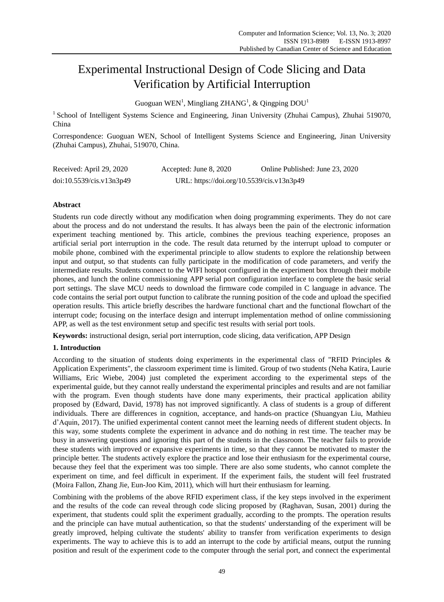# Experimental Instructional Design of Code Slicing and Data Verification by Artificial Interruption

Guoguan WEN<sup>1</sup>, Mingliang ZHANG<sup>1</sup>, & Qingping  $DOU<sup>1</sup>$ 

<sup>1</sup> School of Intelligent Systems Science and Engineering, Jinan University (Zhuhai Campus), Zhuhai 519070, China

Correspondence: Guoguan WEN, School of Intelligent Systems Science and Engineering, Jinan University (Zhuhai Campus), Zhuhai, 519070, China.

| Received: April 29, 2020 | Accepted: June 8, 2020                    | Online Published: June 23, 2020 |
|--------------------------|-------------------------------------------|---------------------------------|
| doi:10.5539/cis.v13n3p49 | URL: https://doi.org/10.5539/cis.v13n3p49 |                                 |

## **Abstract**

Students run code directly without any modification when doing programming experiments. They do not care about the process and do not understand the results. It has always been the pain of the electronic information experiment teaching mentioned by. This article, combines the previous teaching experience, proposes an artificial serial port interruption in the code. The result data returned by the interrupt upload to computer or mobile phone, combined with the experimental principle to allow students to explore the relationship between input and output, so that students can fully participate in the modification of code parameters, and verify the intermediate results. Students connect to the WIFI hotspot configured in the experiment box through their mobile phones, and lunch the online commissioning APP serial port configuration interface to complete the basic serial port settings. The slave MCU needs to download the firmware code compiled in C language in advance. The code contains the serial port output function to calibrate the running position of the code and upload the specified operation results. This article briefly describes the hardware functional chart and the functional flowchart of the interrupt code; focusing on the interface design and interrupt implementation method of online commissioning APP, as well as the test environment setup and specific test results with serial port tools.

**Keywords:** instructional design, serial port interruption, code slicing, data verification, APP Design

## **1. Introduction**

According to the situation of students doing experiments in the experimental class of "RFID Principles & Application Experiments", the classroom experiment time is limited. Group of two students (Neha Katira, Laurie Williams, Eric Wiebe, 2004) just completed the experiment according to the experimental steps of the experimental guide, but they cannot really understand the experimental principles and results and are not familiar with the program. Even though students have done many experiments, their practical application ability proposed by (Edward, David, 1978) has not improved significantly. A class of students is a group of different individuals. There are differences in cognition, acceptance, and hands-on practice (Shuangyan Liu, Mathieu d"Aquin, 2017). The unified experimental content cannot meet the learning needs of different student objects. In this way, some students complete the experiment in advance and do nothing in rest time. The teacher may be busy in answering questions and ignoring this part of the students in the classroom. The teacher fails to provide these students with improved or expansive experiments in time, so that they cannot be motivated to master the principle better. The students actively explore the practice and lose their enthusiasm for the experimental course, because they feel that the experiment was too simple. There are also some students, who cannot complete the experiment on time, and feel difficult in experiment. If the experiment fails, the student will feel frustrated (Moira Fallon, Zhang Jie, Eun-Joo Kim, 2011), which will hurt their enthusiasm for learning.

Combining with the problems of the above RFID experiment class, if the key steps involved in the experiment and the results of the code can reveal through code slicing proposed by (Raghavan, Susan, 2001) during the experiment, that students could split the experiment gradually, according to the prompts. The operation results and the principle can have mutual authentication, so that the students' understanding of the experiment will be greatly improved, helping cultivate the students' ability to transfer from verification experiments to design experiments. The way to achieve this is to add an interrupt to the code by artificial means, output the running position and result of the experiment code to the computer through the serial port, and connect the experimental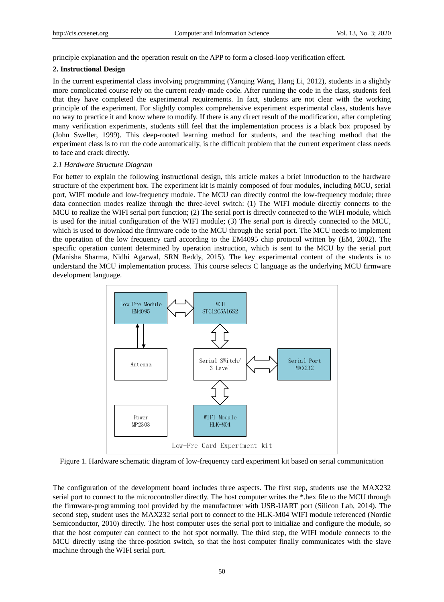principle explanation and the operation result on the APP to form a closed-loop verification effect.

#### **2. Instructional Design**

In the current experimental class involving programming (Yanqing Wang, Hang Li, 2012), students in a slightly more complicated course rely on the current ready-made code. After running the code in the class, students feel that they have completed the experimental requirements. In fact, students are not clear with the working principle of the experiment. For slightly complex comprehensive experiment experimental class, students have no way to practice it and know where to modify. If there is any direct result of the modification, after completing many verification experiments, students still feel that the implementation process is a black box proposed by (John Sweller, 1999). This deep-rooted learning method for students, and the teaching method that the experiment class is to run the code automatically, is the difficult problem that the current experiment class needs to face and crack directly.

#### *2.1 Hardware Structure Diagram*

For better to explain the following instructional design, this article makes a brief introduction to the hardware structure of the experiment box. The experiment kit is mainly composed of four modules, including MCU, serial port, WIFI module and low-frequency module. The MCU can directly control the low-frequency module; three data connection modes realize through the three-level switch: (1) The WIFI module directly connects to the MCU to realize the WIFI serial port function; (2) The serial port is directly connected to the WIFI module, which is used for the initial configuration of the WIFI module; (3) The serial port is directly connected to the MCU, which is used to download the firmware code to the MCU through the serial port. The MCU needs to implement the operation of the low frequency card according to the EM4095 chip protocol written by (EM, 2002). The specific operation content determined by operation instruction, which is sent to the MCU by the serial port (Manisha Sharma, Nidhi Agarwal, SRN Reddy, 2015). The key experimental content of the students is to understand the MCU implementation process. This course selects C language as the underlying MCU firmware development language.



Figure 1. Hardware schematic diagram of low-frequency card experiment kit based on serial communication

The configuration of the development board includes three aspects. The first step, students use the MAX232 serial port to connect to the microcontroller directly. The host computer writes the \*.hex file to the MCU through the firmware-programming tool provided by the manufacturer with USB-UART port (Silicon Lab, 2014). The second step, student uses the MAX232 serial port to connect to the HLK-M04 WIFI module referenced (Nordic Semiconductor, 2010) directly. The host computer uses the serial port to initialize and configure the module, so that the host computer can connect to the hot spot normally. The third step, the WIFI module connects to the MCU directly using the three-position switch, so that the host computer finally communicates with the slave machine through the WIFI serial port.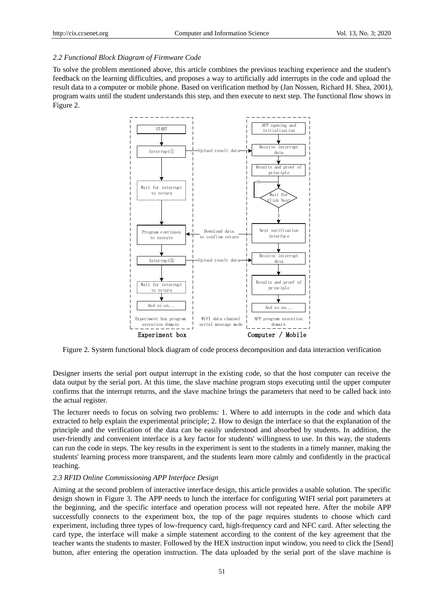#### *2.2 Functional Block Diagram of Firmware Code*

To solve the problem mentioned above, this article combines the previous teaching experience and the student's feedback on the learning difficulties, and proposes a way to artificially add interrupts in the code and upload the result data to a computer or mobile phone. Based on verification method by (Jan Nossen, Richard H. Shea, 2001), program waits until the student understands this step, and then execute to next step. The functional flow shows in Figure 2.



Figure 2. System functional block diagram of code process decomposition and data interaction verification

Designer inserts the serial port output interrupt in the existing code, so that the host computer can receive the data output by the serial port. At this time, the slave machine program stops executing until the upper computer confirms that the interrupt returns, and the slave machine brings the parameters that need to be called back into the actual register.

The lecturer needs to focus on solving two problems: 1. Where to add interrupts in the code and which data extracted to help explain the experimental principle; 2. How to design the interface so that the explanation of the principle and the verification of the data can be easily understood and absorbed by students. In addition, the user-friendly and convenient interface is a key factor for students' willingness to use. In this way, the students can run the code in steps. The key results in the experiment is sent to the students in a timely manner, making the students' learning process more transparent, and the students learn more calmly and confidently in the practical teaching.

#### *2.3 RFID Online Commissioning APP Interface Design*

Aiming at the second problem of interactive interface design, this article provides a usable solution. The specific design shown in Figure 3. The APP needs to lunch the interface for configuring WIFI serial port parameters at the beginning, and the specific interface and operation process will not repeated here. After the mobile APP successfully connects to the experiment box, the top of the page requires students to choose which card experiment, including three types of low-frequency card, high-frequency card and NFC card. After selecting the card type, the interface will make a simple statement according to the content of the key agreement that the teacher wants the students to master. Followed by the HEX instruction input window, you need to click the [Send] button, after entering the operation instruction. The data uploaded by the serial port of the slave machine is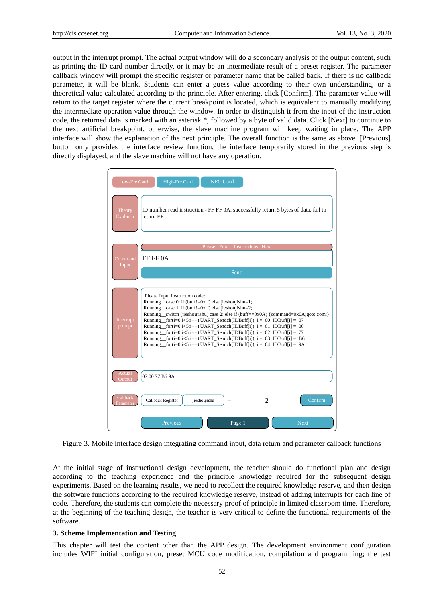output in the interrupt prompt. The actual output window will do a secondary analysis of the output content, such as printing the ID card number directly, or it may be an intermediate result of a preset register. The parameter callback window will prompt the specific register or parameter name that be called back. If there is no callback parameter, it will be blank. Students can enter a guess value according to their own understanding, or a theoretical value calculated according to the principle. After entering, click [Confirm]. The parameter value will return to the target register where the current breakpoint is located, which is equivalent to manually modifying the intermediate operation value through the window. In order to distinguish it from the input of the instruction code, the returned data is marked with an asterisk \*, followed by a byte of valid data. Click [Next] to continue to the next artificial breakpoint, otherwise, the slave machine program will keep waiting in place. The APP interface will show the explanation of the next principle. The overall function is the same as above. [Previous] button only provides the interface review function, the interface temporarily stored in the previous step is directly displayed, and the slave machine will not have any operation.

| Low-Fre Card         | High-Fre Card<br><b>NFC Card</b>                                                                                                                                                                                                                                                                                                                                                                                                                                                                                                                                                                                                                      |  |  |
|----------------------|-------------------------------------------------------------------------------------------------------------------------------------------------------------------------------------------------------------------------------------------------------------------------------------------------------------------------------------------------------------------------------------------------------------------------------------------------------------------------------------------------------------------------------------------------------------------------------------------------------------------------------------------------------|--|--|
| Theory<br>Explanin   | ID number read instruction - FF FF 0A, successfully return 5 bytes of data, fail to<br>return FF                                                                                                                                                                                                                                                                                                                                                                                                                                                                                                                                                      |  |  |
|                      | Please Enter Instructions Here                                                                                                                                                                                                                                                                                                                                                                                                                                                                                                                                                                                                                        |  |  |
| Command<br>Input     | FF FF 0A                                                                                                                                                                                                                                                                                                                                                                                                                                                                                                                                                                                                                                              |  |  |
|                      | Send                                                                                                                                                                                                                                                                                                                                                                                                                                                                                                                                                                                                                                                  |  |  |
|                      |                                                                                                                                                                                                                                                                                                                                                                                                                                                                                                                                                                                                                                                       |  |  |
| Interrupt<br>prompt  | Please Input Instruction code:<br>Running case 0: if (buff!=0xff) else jieshoujishu=1;<br>Running case 1: if (buff!=0xff) else jieshoujishu=2;<br>Running __switch (jieshoujishu) case 2: else if (buff==0x0A) {command=0x0A;goto com;}<br>Running for $(i=0; i<5; i++)$ UART Sendch(IDBuff[i]); $i = 00$ IDBuff[i] = 07<br>Running for $(i=0; i<5; i++)$ UART Sendch(IDBuff[i]); $i = 01$ IDBuff[i] = 00<br>Running for $(i=0; i<5; i++)$ UART_Sendch (IDBuff[i]); $i = 02$ IDBuff[i] = 77<br>Running _for(i=0;i<5;i++) UART_Sendch(IDBuff[i]); $i = 03$ IDBuff[i] = B6<br>Running _for(i=0;i<5;i++) UART_Sendch(IDBuff[i]); $i = 04$ IDBuff[i] = 9A |  |  |
| Actual               | 07 00 77 B6 9A                                                                                                                                                                                                                                                                                                                                                                                                                                                                                                                                                                                                                                        |  |  |
| Callback<br>Paramete | $\overline{c}$<br>Callback Register<br>Confirm<br>jieshoujishu                                                                                                                                                                                                                                                                                                                                                                                                                                                                                                                                                                                        |  |  |
|                      | Page 1<br>Previous<br><b>Next</b>                                                                                                                                                                                                                                                                                                                                                                                                                                                                                                                                                                                                                     |  |  |

Figure 3. Mobile interface design integrating command input, data return and parameter callback functions

At the initial stage of instructional design development, the teacher should do functional plan and design according to the teaching experience and the principle knowledge required for the subsequent design experiments. Based on the learning results, we need to recollect the required knowledge reserve, and then design the software functions according to the required knowledge reserve, instead of adding interrupts for each line of code. Therefore, the students can complete the necessary proof of principle in limited classroom time. Therefore, at the beginning of the teaching design, the teacher is very critical to define the functional requirements of the software.

#### **3. Scheme Implementation and Testing**

This chapter will test the content other than the APP design. The development environment configuration includes WIFI initial configuration, preset MCU code modification, compilation and programming; the test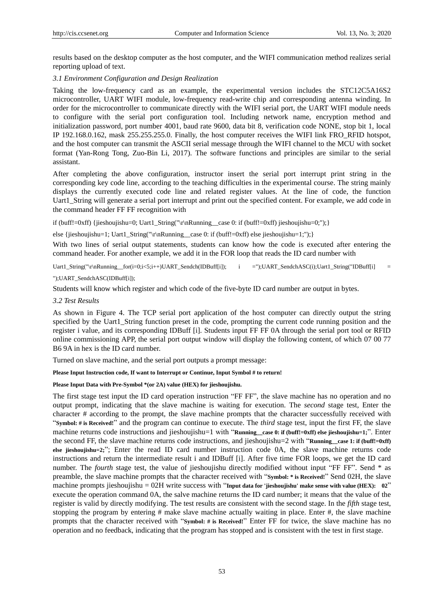results based on the desktop computer as the host computer, and the WIFI communication method realizes serial reporting upload of text.

#### *3.1 Environment Configuration and Design Realization*

Taking the low-frequency card as an example, the experimental version includes the STC12C5A16S2 microcontroller, UART WIFI module, low-frequency read-write chip and corresponding antenna winding. In order for the microcontroller to communicate directly with the WIFI serial port, the UART WIFI module needs to configure with the serial port configuration tool. Including network name, encryption method and initialization password, port number 4001, baud rate 9600, data bit 8, verification code NONE, stop bit 1, local IP 192.168.0.162, mask 255.255.255.0. Finally, the host computer receives the WIFI link FRO\_RFID hotspot, and the host computer can transmit the ASCII serial message through the WIFI channel to the MCU with socket format (Yan-Rong Tong, Zuo-Bin Li, 2017). The software functions and principles are similar to the serial assistant.

After completing the above configuration, instructor insert the serial port interrupt print string in the corresponding key code line, according to the teaching difficulties in the experimental course. The string mainly displays the currently executed code line and related register values. At the line of code, the function Uart1 String will generate a serial port interrupt and print out the specified content. For example, we add code in the command header FF FF recognition with

if (buff!=0xff) {jieshoujishu=0; Uart1\_String("\r\nRunning\_\_case 0: if (buff!=0xff) jieshoujishu=0;");}

else {jieshoujishu=1; Uart1\_String("\r\nRunning\_case 0: if (buff!=0xff) else jieshoujishu=1;");}

With two lines of serial output statements, students can know how the code is executed after entering the command header. For another example, we add it in the FOR loop that reads the ID card number with

Uart1\_String("\r\nRunning\_for(i=0;i<5;i++)UART\_Sendch(IDBuff[i]); i =");UART\_SendchASC(i);Uart1\_String("IDBuff[i] =

#### ");UART\_SendchASC(IDBuff[i]);

Students will know which register and which code of the five-byte ID card number are output in bytes.

#### *3.2 Test Results*

As shown in Figure 4. The TCP serial port application of the host computer can directly output the string specified by the Uart1\_String function preset in the code, prompting the current code running position and the register i value, and its corresponding IDBuff [i]. Students input FF FF 0A through the serial port tool or RFID online commissioning APP, the serial port output window will display the following content, of which 07 00 77 B6 9A in hex is the ID card number.

Turned on slave machine, and the serial port outputs a prompt message:

**Please Input Instruction code, If want to Interrupt or Continue, Input Symbol # to return!**

#### **Please Input Data with Pre-Symbol \*(or 2A) value (HEX) for jieshoujishu.**

The first stage test input the ID card operation instruction "FF FF", the slave machine has no operation and no output prompt, indicating that the slave machine is waiting for execution. The *second* stage test, Enter the character # according to the prompt, the slave machine prompts that the character successfully received with "**Symbol: # is Received!**" and the program can continue to execute. The *third* stage test, input the first FF, the slave machine returns code instructions and jieshoujishu=1 with "**Running\_case 0: if (buff!=0xff) else jieshoujishu=1;**". Enter the second FF, the slave machine returns code instructions, and jieshoujishu=2 with "**Running\_\_case 1: if (buff!=0xff) else jieshoujishu=2;**"; Enter the read ID card number instruction code 0A, the slave machine returns code instructions and return the intermediate result i and IDBuff [i]. After five time FOR loops, we get the ID card number. The *fourth* stage test, the value of jieshoujishu directly modified without input "FF FF". Send \* as preamble, the slave machine prompts that the character received with "**Symbol: \* is Received!**" Send 02H, the slave machine prompts jieshoujishu = 02H write success with "**Input data for 'jieshoujishu' make sense with value (HEX): 02**" execute the operation command 0A, the salve machine returns the ID card number; it means that the value of the register is valid by directly modifying. The test results are consistent with the second stage. In the *fifth* stage test, stopping the program by entering # make slave machine actually waiting in place. Enter #, the slave machine prompts that the character received with "**Symbol: # is Received!**" Enter FF for twice, the slave machine has no operation and no feedback, indicating that the program has stopped and is consistent with the test in first stage.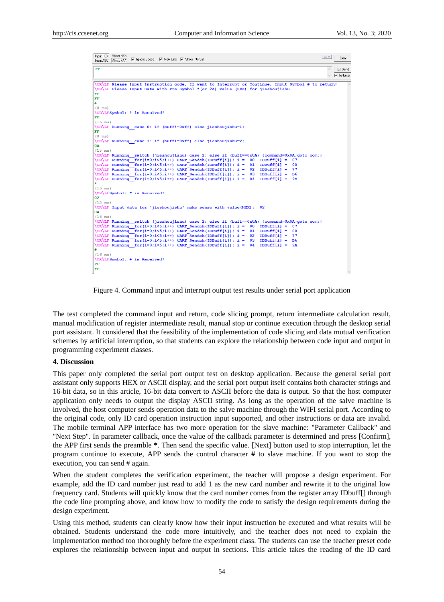| Input HEX Show HEX<br>$\overline{\mathbf{v}}$ Ignore Space $\overline{\mathbf{v}}$ New Line $\overline{\mathbf{v}}$ Show Interval<br>Input ASC Show ASC                             | $\cdots$<br>Clear                  |
|-------------------------------------------------------------------------------------------------------------------------------------------------------------------------------------|------------------------------------|
| FF                                                                                                                                                                                  | [s] Send<br>$\curvearrowright$     |
|                                                                                                                                                                                     | $\nabla$ by Enter<br>$\mathcal{A}$ |
|                                                                                                                                                                                     |                                    |
| \CR\LF Please Input Instruction code, If want to Interrupt or Continue, Input Symbol # to return!<br>\CR\LF Please Input Data with Pre-Symbol *(or 2A) value (HEX) for jieshoujishu |                                    |
| FF                                                                                                                                                                                  |                                    |
| FF                                                                                                                                                                                  |                                    |
| #                                                                                                                                                                                   |                                    |
| $(0$ ms)                                                                                                                                                                            |                                    |
| \CR\LFSymbol: # is Received!                                                                                                                                                        |                                    |
| FF                                                                                                                                                                                  |                                    |
| $(16 \text{ ms})$                                                                                                                                                                   |                                    |
| $CR\LE$ Running case 0: if (buff!=0xff) else jieshoujishu=1;                                                                                                                        |                                    |
| FF                                                                                                                                                                                  |                                    |
| $(0 \text{ ms})$                                                                                                                                                                    |                                    |
| $CR\LE$ Running case 1: if (buff!=0xff) else jieshoujishu=2;                                                                                                                        |                                    |
| 0A                                                                                                                                                                                  |                                    |
| $(15 \text{ ms})$                                                                                                                                                                   |                                    |
| $CR\LE$ Running switch (jieshoujishu) case 2: else if (buff==0x0A) {command=0x0A;qoto com;}                                                                                         |                                    |
| $CRLE$ Running for (i=0;i<5;i++) UART Sendch (IDBuff[i]); i =<br>$IDBuffer[i] =$<br>00<br>07                                                                                        |                                    |
| $CR\L F$ Running for (i=0;i<5;i++) UART Sendch (IDBuff[i]); i = 01<br>$IDBuffer[i] = 00$                                                                                            |                                    |
| $CR\LE\ Runnable{rank(f) : i = 0; i < 5; i++) \ \ \ \text{Search} \ (IDBuffer[i]) ; i =$<br>$IDBufferi =$<br>02<br>77                                                               |                                    |
| $CR\LE\ Runnable{rank(f=0; i<5; i++) \text{UART} \text{ Sendch}(IDBuffer[i]) ; i =\n$<br>03<br>$IDBuffer[i] =$<br><b>B6</b>                                                         |                                    |
| $CR\LE\ Running for (i=0; i<5; i++)$ UART Sendch(IDBuff[i]); i =<br>04<br>$IDBuffer[i] =$<br><b>9A</b><br>$\bullet$                                                                 |                                    |
|                                                                                                                                                                                     |                                    |
| $(16 \text{ ms})$                                                                                                                                                                   |                                    |
| \CR\LFSymbol: * is Received!<br>02                                                                                                                                                  |                                    |
| $(15$ ms)                                                                                                                                                                           |                                    |
| \CR\LF Input data for 'jieshoujishu' make sense with value (HEX):<br>02                                                                                                             |                                    |
| 0A                                                                                                                                                                                  |                                    |
| $(16$ ms)                                                                                                                                                                           |                                    |
| $CR\LE$ Running switch (jieshoujishu) case 2: else if (buff==0x0A) {command=0x0A;qoto com;}                                                                                         |                                    |
| $CR\LE\ Runnable{rank(f) : i = 0; i < 5; i++) \ \ \ \text{Search} \ (IDBuffer[i]) ; i =$<br>$IDBuffer[i] =$<br>00<br>07                                                             |                                    |
| $CR\LE\ Running for (i=0; i\le 5; i++)$ UART Sendch(IDBuff[i]); i =<br>01<br>$IDBuffer[i] =$<br>00                                                                                  |                                    |
| $CR\L F$ Running for (i=0;i<5;i++) UART Sendch (IDBuff[i]); i =<br>02<br>$IDBuffer[i] =$<br>77                                                                                      |                                    |
| $CR\L F$ Running for (i=0;i<5;i++) UART Sendch (IDBuff[i]); i =<br>03<br>$IDBuffer[i] =$<br><b>B6</b>                                                                               |                                    |
| $\CR\LF\ Running for (i=0; i<5; i++)$ UART Sendch(IDBuff[i]); i =<br>04<br>$IDBuffer[i] =$<br><b>9A</b>                                                                             |                                    |
| #                                                                                                                                                                                   |                                    |
| $(16 \text{ ms})$                                                                                                                                                                   |                                    |
| \CR\LFSymbol: # is Received!                                                                                                                                                        |                                    |
| FF                                                                                                                                                                                  |                                    |
| FF                                                                                                                                                                                  |                                    |

Figure 4. Command input and interrupt output test results under serial port application

The test completed the command input and return, code slicing prompt, return intermediate calculation result, manual modification of register intermediate result, manual stop or continue execution through the desktop serial port assistant. It considered that the feasibility of the implementation of code slicing and data mutual verification schemes by artificial interruption, so that students can explore the relationship between code input and output in programming experiment classes.

#### **4. Discussion**

This paper only completed the serial port output test on desktop application. Because the general serial port assistant only supports HEX or ASCII display, and the serial port output itself contains both character strings and 16-bit data, so in this article, 16-bit data convert to ASCII before the data is output. So that the host computer application only needs to output the display ASCII string. As long as the operation of the salve machine is involved, the host computer sends operation data to the salve machine through the WIFI serial port. According to the original code, only ID card operation instruction input supported, and other instructions or data are invalid. The mobile terminal APP interface has two more operation for the slave machine: "Parameter Callback" and "Next Step". In parameter callback, once the value of the callback parameter is determined and press [Confirm], the APP first sends the preamble **\***. Then send the specific value. [Next] button used to stop interruption, let the program continue to execute, APP sends the control character **#** to slave machine. If you want to stop the execution, you can send # again.

When the student completes the verification experiment, the teacher will propose a design experiment. For example, add the ID card number just read to add 1 as the new card number and rewrite it to the original low frequency card. Students will quickly know that the card number comes from the register array IDbuff[] through the code line prompting above, and know how to modify the code to satisfy the design requirements during the design experiment.

Using this method, students can clearly know how their input instruction be executed and what results will be obtained. Students understand the code more intuitively, and the teacher does not need to explain the implementation method too thoroughly before the experiment class. The students can use the teacher preset code explores the relationship between input and output in sections. This article takes the reading of the ID card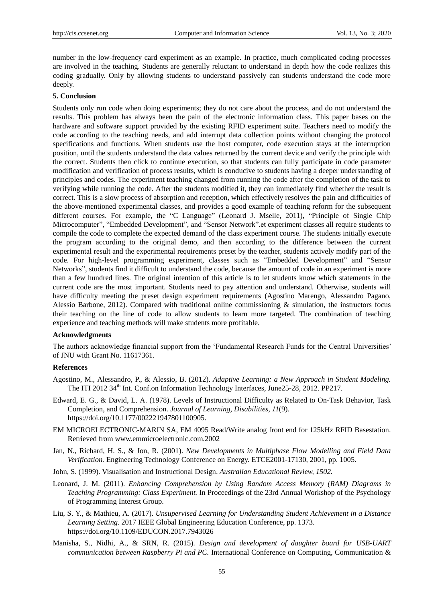number in the low-frequency card experiment as an example. In practice, much complicated coding processes are involved in the teaching. Students are generally reluctant to understand in depth how the code realizes this coding gradually. Only by allowing students to understand passively can students understand the code more deeply.

#### **5. Conclusion**

Students only run code when doing experiments; they do not care about the process, and do not understand the results. This problem has always been the pain of the electronic information class. This paper bases on the hardware and software support provided by the existing RFID experiment suite. Teachers need to modify the code according to the teaching needs, and add interrupt data collection points without changing the protocol specifications and functions. When students use the host computer, code execution stays at the interruption position, until the students understand the data values returned by the current device and verify the principle with the correct. Students then click to continue execution, so that students can fully participate in code parameter modification and verification of process results, which is conducive to students having a deeper understanding of principles and codes. The experiment teaching changed from running the code after the completion of the task to verifying while running the code. After the students modified it, they can immediately find whether the result is correct. This is a slow process of absorption and reception, which effectively resolves the pain and difficulties of the above-mentioned experimental classes, and provides a good example of teaching reform for the subsequent different courses. For example, the "C Language" (Leonard J. Mselle, 2011), "Principle of Single Chip Microcomputer", "Embedded Development", and "Sensor Network".et experiment classes all require students to compile the code to complete the expected demand of the class experiment course. The students initially execute the program according to the original demo, and then according to the difference between the current experimental result and the experimental requirements preset by the teacher, students actively modify part of the code. For high-level programming experiment, classes such as "Embedded Development" and "Sensor Networks", students find it difficult to understand the code, because the amount of code in an experiment is more than a few hundred lines. The original intention of this article is to let students know which statements in the current code are the most important. Students need to pay attention and understand. Otherwise, students will have difficulty meeting the preset design experiment requirements (Agostino Marengo, Alessandro Pagano, Alessio Barbone, 2012). Compared with traditional online commissioning  $\&$  simulation, the instructors focus their teaching on the line of code to allow students to learn more targeted. The combination of teaching experience and teaching methods will make students more profitable.

#### **Acknowledgments**

The authors acknowledge financial support from the "Fundamental Research Funds for the Central Universities" of JNU with Grant No. 11617361.

#### **References**

- Agostino, M., Alessandro, P., & Alessio, B. (2012). *Adaptive Learning: a New Approach in Student Modeling.*  The ITI 2012 34<sup>th</sup> Int. Conf.on Information Technology Interfaces, June25-28, 2012. PP217.
- Edward, E. G., & David, L. A. (1978). Levels of Instructional Difficulty as Related to On-Task Behavior, Task Completion, and Comprehension. *Journal of Learning, Disabilities, 11*(9). [https://doi.org/10.1177/002221947801100905.](https://doi.org/10.1177/002221947801100905)
- EM MICROELECTRONIC-MARIN SA, EM 4095 Read/Write analog front end for 125kHz RFID Basestation. Retrieved from [www.emmicroelectronic.com.2002](http://www.emmicroelectronic.com.2002/)
- Jan, N., Richard, H. S., & Jon, R. (2001). *New Developments in Multiphase Flow Modelling and Field Data Verification.* Engineering Technology Conference on Energy. ETCE2001-17130, 2001, pp. 1005.
- John, S. (1999). Visualisation and Instructional Design. *Australian Educational Review, 1502.*
- Leonard, J. M. (2011). *Enhancing Comprehension by Using Random Access Memory (RAM) Diagrams in Teaching Programming: Class Experiment.* In Proceedings of the 23rd Annual Workshop of the Psychology of Programming Interest Group.
- Liu, S. Y., & Mathieu, A. (2017). *Unsupervised Learning for Understanding Student Achievement in a Distance Learning Setting.* 2017 IEEE Global Engineering Education Conference, pp. 1373. https://doi.org/10.1109/EDUCON.2017.7943026
- Manisha, S., Nidhi, A., & SRN, R. (2015). *Design and development of daughter board for USB-UART communication between Raspberry Pi and PC.* International Conference on Computing, Communication &